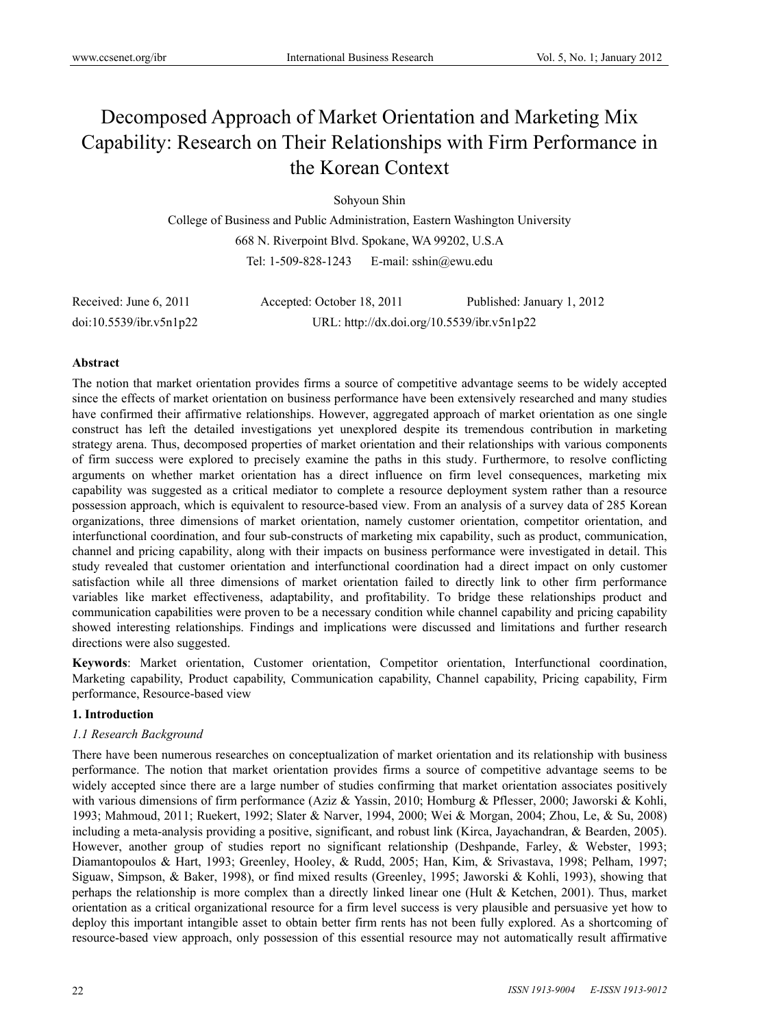# Decomposed Approach of Market Orientation and Marketing Mix Capability: Research on Their Relationships with Firm Performance in the Korean Context

Sohyoun Shin

College of Business and Public Administration, Eastern Washington University 668 N. Riverpoint Blvd. Spokane, WA 99202, U.S.A Tel: 1-509-828-1243 E-mail: sshin@ewu.edu

| Received: June 6, 2011  | Accepted: October 18, 2011                 | Published: January 1, 2012 |
|-------------------------|--------------------------------------------|----------------------------|
| doi:10.5539/ibr.v5n1p22 | URL: http://dx.doi.org/10.5539/ibr.v5n1p22 |                            |

#### **Abstract**

The notion that market orientation provides firms a source of competitive advantage seems to be widely accepted since the effects of market orientation on business performance have been extensively researched and many studies have confirmed their affirmative relationships. However, aggregated approach of market orientation as one single construct has left the detailed investigations yet unexplored despite its tremendous contribution in marketing strategy arena. Thus, decomposed properties of market orientation and their relationships with various components of firm success were explored to precisely examine the paths in this study. Furthermore, to resolve conflicting arguments on whether market orientation has a direct influence on firm level consequences, marketing mix capability was suggested as a critical mediator to complete a resource deployment system rather than a resource possession approach, which is equivalent to resource-based view. From an analysis of a survey data of 285 Korean organizations, three dimensions of market orientation, namely customer orientation, competitor orientation, and interfunctional coordination, and four sub-constructs of marketing mix capability, such as product, communication, channel and pricing capability, along with their impacts on business performance were investigated in detail. This study revealed that customer orientation and interfunctional coordination had a direct impact on only customer satisfaction while all three dimensions of market orientation failed to directly link to other firm performance variables like market effectiveness, adaptability, and profitability. To bridge these relationships product and communication capabilities were proven to be a necessary condition while channel capability and pricing capability showed interesting relationships. Findings and implications were discussed and limitations and further research directions were also suggested.

**Keywords**: Market orientation, Customer orientation, Competitor orientation, Interfunctional coordination, Marketing capability, Product capability, Communication capability, Channel capability, Pricing capability, Firm performance, Resource-based view

#### **1. Introduction**

#### *1.1 Research Background*

There have been numerous researches on conceptualization of market orientation and its relationship with business performance. The notion that market orientation provides firms a source of competitive advantage seems to be widely accepted since there are a large number of studies confirming that market orientation associates positively with various dimensions of firm performance (Aziz & Yassin, 2010; Homburg & Pflesser, 2000; Jaworski & Kohli, 1993; Mahmoud, 2011; Ruekert, 1992; Slater & Narver, 1994, 2000; Wei & Morgan, 2004; Zhou, Le, & Su, 2008) including a meta-analysis providing a positive, significant, and robust link (Kirca, Jayachandran, & Bearden, 2005). However, another group of studies report no significant relationship (Deshpande, Farley, & Webster, 1993; Diamantopoulos & Hart, 1993; Greenley, Hooley, & Rudd, 2005; Han, Kim, & Srivastava, 1998; Pelham, 1997; Siguaw, Simpson, & Baker, 1998), or find mixed results (Greenley, 1995; Jaworski & Kohli, 1993), showing that perhaps the relationship is more complex than a directly linked linear one (Hult & Ketchen, 2001). Thus, market orientation as a critical organizational resource for a firm level success is very plausible and persuasive yet how to deploy this important intangible asset to obtain better firm rents has not been fully explored. As a shortcoming of resource-based view approach, only possession of this essential resource may not automatically result affirmative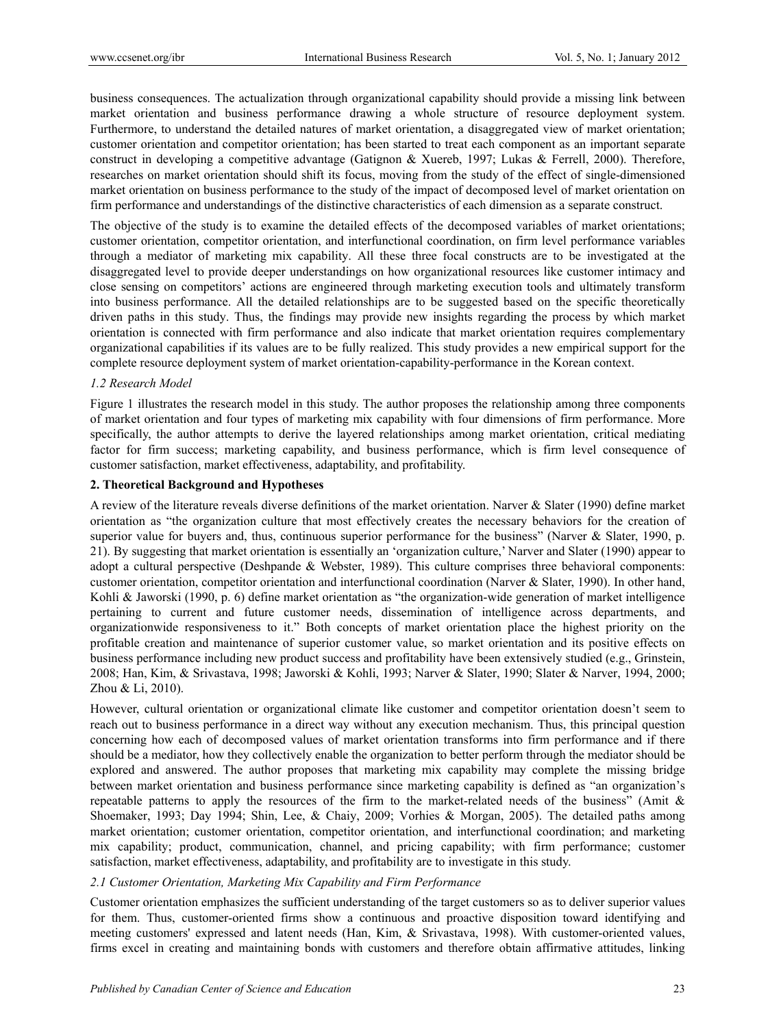business consequences. The actualization through organizational capability should provide a missing link between market orientation and business performance drawing a whole structure of resource deployment system. Furthermore, to understand the detailed natures of market orientation, a disaggregated view of market orientation; customer orientation and competitor orientation; has been started to treat each component as an important separate construct in developing a competitive advantage (Gatignon & Xuereb, 1997; Lukas & Ferrell, 2000). Therefore, researches on market orientation should shift its focus, moving from the study of the effect of single-dimensioned market orientation on business performance to the study of the impact of decomposed level of market orientation on firm performance and understandings of the distinctive characteristics of each dimension as a separate construct.

The objective of the study is to examine the detailed effects of the decomposed variables of market orientations; customer orientation, competitor orientation, and interfunctional coordination, on firm level performance variables through a mediator of marketing mix capability. All these three focal constructs are to be investigated at the disaggregated level to provide deeper understandings on how organizational resources like customer intimacy and close sensing on competitors' actions are engineered through marketing execution tools and ultimately transform into business performance. All the detailed relationships are to be suggested based on the specific theoretically driven paths in this study. Thus, the findings may provide new insights regarding the process by which market orientation is connected with firm performance and also indicate that market orientation requires complementary organizational capabilities if its values are to be fully realized. This study provides a new empirical support for the complete resource deployment system of market orientation-capability-performance in the Korean context.

#### *1.2 Research Model*

Figure 1 illustrates the research model in this study. The author proposes the relationship among three components of market orientation and four types of marketing mix capability with four dimensions of firm performance. More specifically, the author attempts to derive the layered relationships among market orientation, critical mediating factor for firm success; marketing capability, and business performance, which is firm level consequence of customer satisfaction, market effectiveness, adaptability, and profitability.

#### **2. Theoretical Background and Hypotheses**

A review of the literature reveals diverse definitions of the market orientation. Narver & Slater (1990) define market orientation as "the organization culture that most effectively creates the necessary behaviors for the creation of superior value for buyers and, thus, continuous superior performance for the business" (Narver & Slater, 1990, p. 21). By suggesting that market orientation is essentially an 'organization culture,' Narver and Slater (1990) appear to adopt a cultural perspective (Deshpande & Webster, 1989). This culture comprises three behavioral components: customer orientation, competitor orientation and interfunctional coordination (Narver & Slater, 1990). In other hand, Kohli & Jaworski (1990, p. 6) define market orientation as "the organization-wide generation of market intelligence pertaining to current and future customer needs, dissemination of intelligence across departments, and organizationwide responsiveness to it." Both concepts of market orientation place the highest priority on the profitable creation and maintenance of superior customer value, so market orientation and its positive effects on business performance including new product success and profitability have been extensively studied (e.g., Grinstein, 2008; Han, Kim, & Srivastava, 1998; Jaworski & Kohli, 1993; Narver & Slater, 1990; Slater & Narver, 1994, 2000; Zhou & Li, 2010).

However, cultural orientation or organizational climate like customer and competitor orientation doesn't seem to reach out to business performance in a direct way without any execution mechanism. Thus, this principal question concerning how each of decomposed values of market orientation transforms into firm performance and if there should be a mediator, how they collectively enable the organization to better perform through the mediator should be explored and answered. The author proposes that marketing mix capability may complete the missing bridge between market orientation and business performance since marketing capability is defined as "an organization's repeatable patterns to apply the resources of the firm to the market-related needs of the business" (Amit & Shoemaker, 1993; Day 1994; Shin, Lee, & Chaiy, 2009; Vorhies & Morgan, 2005). The detailed paths among market orientation; customer orientation, competitor orientation, and interfunctional coordination; and marketing mix capability; product, communication, channel, and pricing capability; with firm performance; customer satisfaction, market effectiveness, adaptability, and profitability are to investigate in this study.

# *2.1 Customer Orientation, Marketing Mix Capability and Firm Performance*

Customer orientation emphasizes the sufficient understanding of the target customers so as to deliver superior values for them. Thus, customer-oriented firms show a continuous and proactive disposition toward identifying and meeting customers' expressed and latent needs (Han, Kim, & Srivastava, 1998). With customer-oriented values, firms excel in creating and maintaining bonds with customers and therefore obtain affirmative attitudes, linking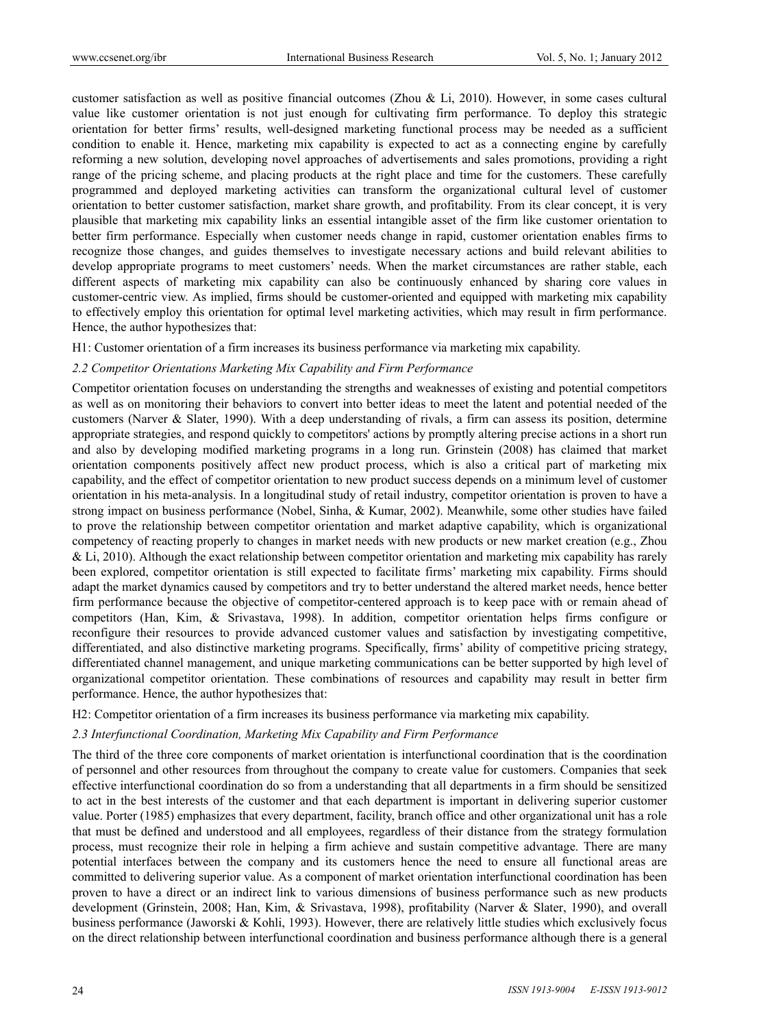customer satisfaction as well as positive financial outcomes (Zhou & Li, 2010). However, in some cases cultural value like customer orientation is not just enough for cultivating firm performance. To deploy this strategic orientation for better firms' results, well-designed marketing functional process may be needed as a sufficient condition to enable it. Hence, marketing mix capability is expected to act as a connecting engine by carefully reforming a new solution, developing novel approaches of advertisements and sales promotions, providing a right range of the pricing scheme, and placing products at the right place and time for the customers. These carefully programmed and deployed marketing activities can transform the organizational cultural level of customer orientation to better customer satisfaction, market share growth, and profitability. From its clear concept, it is very plausible that marketing mix capability links an essential intangible asset of the firm like customer orientation to better firm performance. Especially when customer needs change in rapid, customer orientation enables firms to recognize those changes, and guides themselves to investigate necessary actions and build relevant abilities to develop appropriate programs to meet customers' needs. When the market circumstances are rather stable, each different aspects of marketing mix capability can also be continuously enhanced by sharing core values in customer-centric view. As implied, firms should be customer-oriented and equipped with marketing mix capability to effectively employ this orientation for optimal level marketing activities, which may result in firm performance. Hence, the author hypothesizes that:

H1: Customer orientation of a firm increases its business performance via marketing mix capability.

#### *2.2 Competitor Orientations Marketing Mix Capability and Firm Performance*

Competitor orientation focuses on understanding the strengths and weaknesses of existing and potential competitors as well as on monitoring their behaviors to convert into better ideas to meet the latent and potential needed of the customers (Narver & Slater, 1990). With a deep understanding of rivals, a firm can assess its position, determine appropriate strategies, and respond quickly to competitors' actions by promptly altering precise actions in a short run and also by developing modified marketing programs in a long run. Grinstein (2008) has claimed that market orientation components positively affect new product process, which is also a critical part of marketing mix capability, and the effect of competitor orientation to new product success depends on a minimum level of customer orientation in his meta-analysis. In a longitudinal study of retail industry, competitor orientation is proven to have a strong impact on business performance (Nobel, Sinha, & Kumar, 2002). Meanwhile, some other studies have failed to prove the relationship between competitor orientation and market adaptive capability, which is organizational competency of reacting properly to changes in market needs with new products or new market creation (e.g., Zhou & Li, 2010). Although the exact relationship between competitor orientation and marketing mix capability has rarely been explored, competitor orientation is still expected to facilitate firms' marketing mix capability. Firms should adapt the market dynamics caused by competitors and try to better understand the altered market needs, hence better firm performance because the objective of competitor-centered approach is to keep pace with or remain ahead of competitors (Han, Kim, & Srivastava, 1998). In addition, competitor orientation helps firms configure or reconfigure their resources to provide advanced customer values and satisfaction by investigating competitive, differentiated, and also distinctive marketing programs. Specifically, firms' ability of competitive pricing strategy, differentiated channel management, and unique marketing communications can be better supported by high level of organizational competitor orientation. These combinations of resources and capability may result in better firm performance. Hence, the author hypothesizes that:

H2: Competitor orientation of a firm increases its business performance via marketing mix capability.

#### *2.3 Interfunctional Coordination, Marketing Mix Capability and Firm Performance*

The third of the three core components of market orientation is interfunctional coordination that is the coordination of personnel and other resources from throughout the company to create value for customers. Companies that seek effective interfunctional coordination do so from a understanding that all departments in a firm should be sensitized to act in the best interests of the customer and that each department is important in delivering superior customer value. Porter (1985) emphasizes that every department, facility, branch office and other organizational unit has a role that must be defined and understood and all employees, regardless of their distance from the strategy formulation process, must recognize their role in helping a firm achieve and sustain competitive advantage. There are many potential interfaces between the company and its customers hence the need to ensure all functional areas are committed to delivering superior value. As a component of market orientation interfunctional coordination has been proven to have a direct or an indirect link to various dimensions of business performance such as new products development (Grinstein, 2008; Han, Kim, & Srivastava, 1998), profitability (Narver & Slater, 1990), and overall business performance (Jaworski & Kohli, 1993). However, there are relatively little studies which exclusively focus on the direct relationship between interfunctional coordination and business performance although there is a general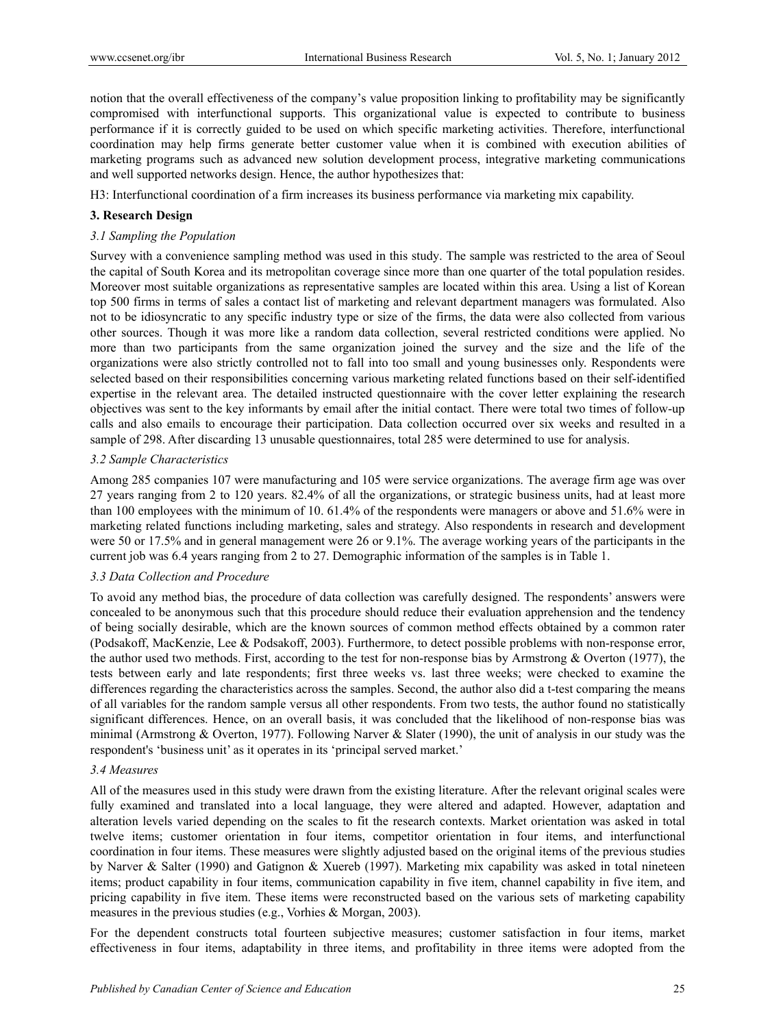notion that the overall effectiveness of the company's value proposition linking to profitability may be significantly compromised with interfunctional supports. This organizational value is expected to contribute to business performance if it is correctly guided to be used on which specific marketing activities. Therefore, interfunctional coordination may help firms generate better customer value when it is combined with execution abilities of marketing programs such as advanced new solution development process, integrative marketing communications and well supported networks design. Hence, the author hypothesizes that:

H3: Interfunctional coordination of a firm increases its business performance via marketing mix capability.

#### **3. Research Design**

#### *3.1 Sampling the Population*

Survey with a convenience sampling method was used in this study. The sample was restricted to the area of Seoul the capital of South Korea and its metropolitan coverage since more than one quarter of the total population resides. Moreover most suitable organizations as representative samples are located within this area. Using a list of Korean top 500 firms in terms of sales a contact list of marketing and relevant department managers was formulated. Also not to be idiosyncratic to any specific industry type or size of the firms, the data were also collected from various other sources. Though it was more like a random data collection, several restricted conditions were applied. No more than two participants from the same organization joined the survey and the size and the life of the organizations were also strictly controlled not to fall into too small and young businesses only. Respondents were selected based on their responsibilities concerning various marketing related functions based on their self-identified expertise in the relevant area. The detailed instructed questionnaire with the cover letter explaining the research objectives was sent to the key informants by email after the initial contact. There were total two times of follow-up calls and also emails to encourage their participation. Data collection occurred over six weeks and resulted in a sample of 298. After discarding 13 unusable questionnaires, total 285 were determined to use for analysis.

#### *3.2 Sample Characteristics*

Among 285 companies 107 were manufacturing and 105 were service organizations. The average firm age was over 27 years ranging from 2 to 120 years. 82.4% of all the organizations, or strategic business units, had at least more than 100 employees with the minimum of 10. 61.4% of the respondents were managers or above and 51.6% were in marketing related functions including marketing, sales and strategy. Also respondents in research and development were 50 or 17.5% and in general management were 26 or 9.1%. The average working years of the participants in the current job was 6.4 years ranging from 2 to 27. Demographic information of the samples is in Table 1.

#### *3.3 Data Collection and Procedure*

To avoid any method bias, the procedure of data collection was carefully designed. The respondents' answers were concealed to be anonymous such that this procedure should reduce their evaluation apprehension and the tendency of being socially desirable, which are the known sources of common method effects obtained by a common rater (Podsakoff, MacKenzie, Lee & Podsakoff, 2003). Furthermore, to detect possible problems with non-response error, the author used two methods. First, according to the test for non-response bias by Armstrong & Overton (1977), the tests between early and late respondents; first three weeks vs. last three weeks; were checked to examine the differences regarding the characteristics across the samples. Second, the author also did a t-test comparing the means of all variables for the random sample versus all other respondents. From two tests, the author found no statistically significant differences. Hence, on an overall basis, it was concluded that the likelihood of non-response bias was minimal (Armstrong & Overton, 1977). Following Narver & Slater (1990), the unit of analysis in our study was the respondent's 'business unit' as it operates in its 'principal served market.'

#### *3.4 Measures*

All of the measures used in this study were drawn from the existing literature. After the relevant original scales were fully examined and translated into a local language, they were altered and adapted. However, adaptation and alteration levels varied depending on the scales to fit the research contexts. Market orientation was asked in total twelve items; customer orientation in four items, competitor orientation in four items, and interfunctional coordination in four items. These measures were slightly adjusted based on the original items of the previous studies by Narver & Salter (1990) and Gatignon & Xuereb (1997). Marketing mix capability was asked in total nineteen items; product capability in four items, communication capability in five item, channel capability in five item, and pricing capability in five item. These items were reconstructed based on the various sets of marketing capability measures in the previous studies (e.g., Vorhies & Morgan, 2003).

For the dependent constructs total fourteen subjective measures; customer satisfaction in four items, market effectiveness in four items, adaptability in three items, and profitability in three items were adopted from the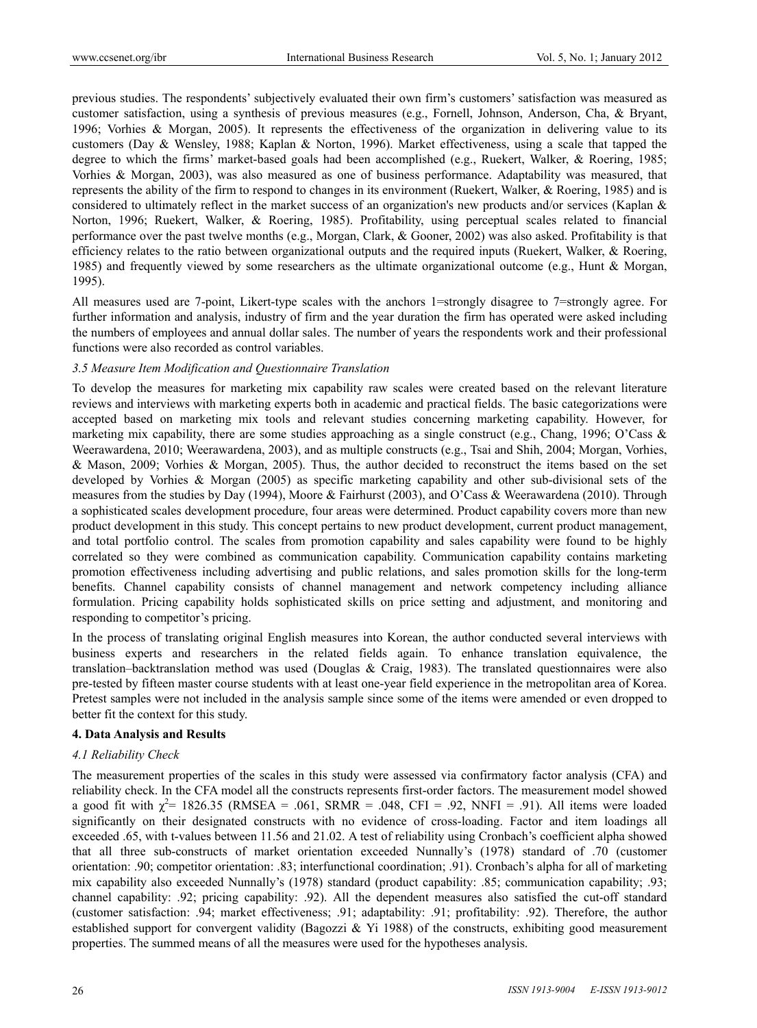previous studies. The respondents' subjectively evaluated their own firm's customers' satisfaction was measured as customer satisfaction, using a synthesis of previous measures (e.g., Fornell, Johnson, Anderson, Cha, & Bryant, 1996; Vorhies & Morgan, 2005). It represents the effectiveness of the organization in delivering value to its customers (Day & Wensley, 1988; Kaplan & Norton, 1996). Market effectiveness, using a scale that tapped the degree to which the firms' market-based goals had been accomplished (e.g., Ruekert, Walker, & Roering, 1985; Vorhies & Morgan, 2003), was also measured as one of business performance. Adaptability was measured, that represents the ability of the firm to respond to changes in its environment (Ruekert, Walker, & Roering, 1985) and is considered to ultimately reflect in the market success of an organization's new products and/or services (Kaplan & Norton, 1996; Ruekert, Walker, & Roering, 1985). Profitability, using perceptual scales related to financial performance over the past twelve months (e.g., Morgan, Clark, & Gooner, 2002) was also asked. Profitability is that efficiency relates to the ratio between organizational outputs and the required inputs (Ruekert, Walker, & Roering, 1985) and frequently viewed by some researchers as the ultimate organizational outcome (e.g., Hunt & Morgan, 1995).

All measures used are 7-point, Likert-type scales with the anchors 1=strongly disagree to 7=strongly agree. For further information and analysis, industry of firm and the year duration the firm has operated were asked including the numbers of employees and annual dollar sales. The number of years the respondents work and their professional functions were also recorded as control variables.

#### *3.5 Measure Item Modification and Questionnaire Translation*

To develop the measures for marketing mix capability raw scales were created based on the relevant literature reviews and interviews with marketing experts both in academic and practical fields. The basic categorizations were accepted based on marketing mix tools and relevant studies concerning marketing capability. However, for marketing mix capability, there are some studies approaching as a single construct (e.g., Chang, 1996; O'Cass & Weerawardena, 2010; Weerawardena, 2003), and as multiple constructs (e.g., Tsai and Shih, 2004; Morgan, Vorhies, & Mason, 2009; Vorhies & Morgan, 2005). Thus, the author decided to reconstruct the items based on the set developed by Vorhies & Morgan (2005) as specific marketing capability and other sub-divisional sets of the measures from the studies by Day (1994), Moore & Fairhurst (2003), and O'Cass & Weerawardena (2010). Through a sophisticated scales development procedure, four areas were determined. Product capability covers more than new product development in this study. This concept pertains to new product development, current product management, and total portfolio control. The scales from promotion capability and sales capability were found to be highly correlated so they were combined as communication capability. Communication capability contains marketing promotion effectiveness including advertising and public relations, and sales promotion skills for the long-term benefits. Channel capability consists of channel management and network competency including alliance formulation. Pricing capability holds sophisticated skills on price setting and adjustment, and monitoring and responding to competitor's pricing.

In the process of translating original English measures into Korean, the author conducted several interviews with business experts and researchers in the related fields again. To enhance translation equivalence, the translation–backtranslation method was used (Douglas & Craig, 1983). The translated questionnaires were also pre-tested by fifteen master course students with at least one-year field experience in the metropolitan area of Korea. Pretest samples were not included in the analysis sample since some of the items were amended or even dropped to better fit the context for this study.

#### **4. Data Analysis and Results**

#### *4.1 Reliability Check*

The measurement properties of the scales in this study were assessed via confirmatory factor analysis (CFA) and reliability check. In the CFA model all the constructs represents first-order factors. The measurement model showed a good fit with  $\chi^2$ = 1826.35 (RMSEA = .061, SRMR = .048, CFI = .92, NNFI = .91). All items were loaded significantly on their designated constructs with no evidence of cross-loading. Factor and item loadings all exceeded .65, with t-values between 11.56 and 21.02. A test of reliability using Cronbach's coefficient alpha showed that all three sub-constructs of market orientation exceeded Nunnally's (1978) standard of .70 (customer orientation: .90; competitor orientation: .83; interfunctional coordination; .91). Cronbach's alpha for all of marketing mix capability also exceeded Nunnally's (1978) standard (product capability: .85; communication capability; .93; channel capability: .92; pricing capability: .92). All the dependent measures also satisfied the cut-off standard (customer satisfaction: .94; market effectiveness; .91; adaptability: .91; profitability: .92). Therefore, the author established support for convergent validity (Bagozzi & Yi 1988) of the constructs, exhibiting good measurement properties. The summed means of all the measures were used for the hypotheses analysis.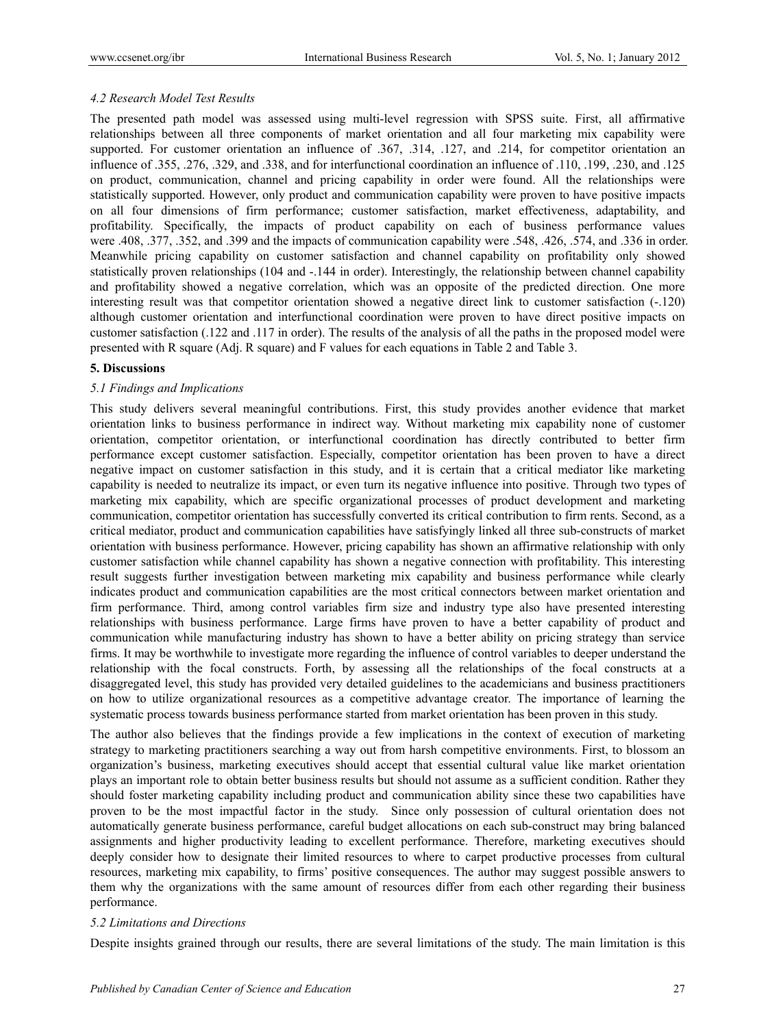# *4.2 Research Model Test Results*

The presented path model was assessed using multi-level regression with SPSS suite. First, all affirmative relationships between all three components of market orientation and all four marketing mix capability were supported. For customer orientation an influence of .367, .314, .127, and .214, for competitor orientation an influence of .355, .276, .329, and .338, and for interfunctional coordination an influence of .110, .199, .230, and .125 on product, communication, channel and pricing capability in order were found. All the relationships were statistically supported. However, only product and communication capability were proven to have positive impacts on all four dimensions of firm performance; customer satisfaction, market effectiveness, adaptability, and profitability. Specifically, the impacts of product capability on each of business performance values were .408, .377, .352, and .399 and the impacts of communication capability were .548, .426, .574, and .336 in order. Meanwhile pricing capability on customer satisfaction and channel capability on profitability only showed statistically proven relationships (104 and -.144 in order). Interestingly, the relationship between channel capability and profitability showed a negative correlation, which was an opposite of the predicted direction. One more interesting result was that competitor orientation showed a negative direct link to customer satisfaction (-.120) although customer orientation and interfunctional coordination were proven to have direct positive impacts on customer satisfaction (.122 and .117 in order). The results of the analysis of all the paths in the proposed model were presented with R square (Adj. R square) and F values for each equations in Table 2 and Table 3.

# **5. Discussions**

# *5.1 Findings and Implications*

This study delivers several meaningful contributions. First, this study provides another evidence that market orientation links to business performance in indirect way. Without marketing mix capability none of customer orientation, competitor orientation, or interfunctional coordination has directly contributed to better firm performance except customer satisfaction. Especially, competitor orientation has been proven to have a direct negative impact on customer satisfaction in this study, and it is certain that a critical mediator like marketing capability is needed to neutralize its impact, or even turn its negative influence into positive. Through two types of marketing mix capability, which are specific organizational processes of product development and marketing communication, competitor orientation has successfully converted its critical contribution to firm rents. Second, as a critical mediator, product and communication capabilities have satisfyingly linked all three sub-constructs of market orientation with business performance. However, pricing capability has shown an affirmative relationship with only customer satisfaction while channel capability has shown a negative connection with profitability. This interesting result suggests further investigation between marketing mix capability and business performance while clearly indicates product and communication capabilities are the most critical connectors between market orientation and firm performance. Third, among control variables firm size and industry type also have presented interesting relationships with business performance. Large firms have proven to have a better capability of product and communication while manufacturing industry has shown to have a better ability on pricing strategy than service firms. It may be worthwhile to investigate more regarding the influence of control variables to deeper understand the relationship with the focal constructs. Forth, by assessing all the relationships of the focal constructs at a disaggregated level, this study has provided very detailed guidelines to the academicians and business practitioners on how to utilize organizational resources as a competitive advantage creator. The importance of learning the systematic process towards business performance started from market orientation has been proven in this study.

The author also believes that the findings provide a few implications in the context of execution of marketing strategy to marketing practitioners searching a way out from harsh competitive environments. First, to blossom an organization's business, marketing executives should accept that essential cultural value like market orientation plays an important role to obtain better business results but should not assume as a sufficient condition. Rather they should foster marketing capability including product and communication ability since these two capabilities have proven to be the most impactful factor in the study. Since only possession of cultural orientation does not automatically generate business performance, careful budget allocations on each sub-construct may bring balanced assignments and higher productivity leading to excellent performance. Therefore, marketing executives should deeply consider how to designate their limited resources to where to carpet productive processes from cultural resources, marketing mix capability, to firms' positive consequences. The author may suggest possible answers to them why the organizations with the same amount of resources differ from each other regarding their business performance.

# *5.2 Limitations and Directions*

Despite insights grained through our results, there are several limitations of the study. The main limitation is this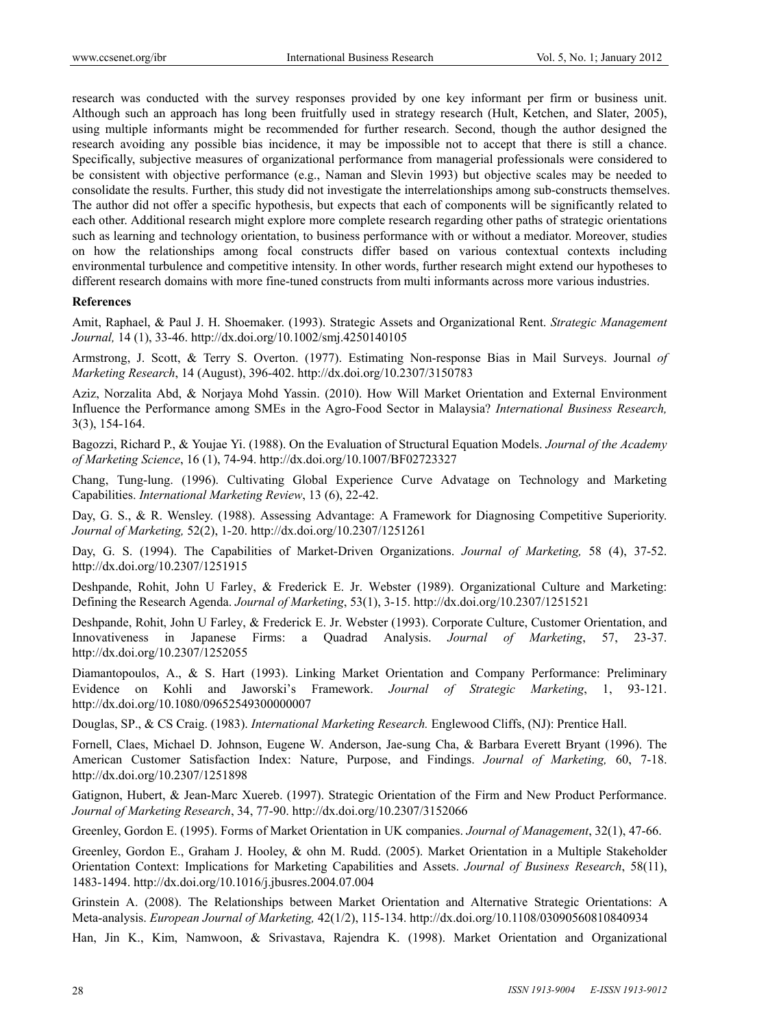research was conducted with the survey responses provided by one key informant per firm or business unit. Although such an approach has long been fruitfully used in strategy research (Hult, Ketchen, and Slater, 2005), using multiple informants might be recommended for further research. Second, though the author designed the research avoiding any possible bias incidence, it may be impossible not to accept that there is still a chance. Specifically, subjective measures of organizational performance from managerial professionals were considered to be consistent with objective performance (e.g., Naman and Slevin 1993) but objective scales may be needed to consolidate the results. Further, this study did not investigate the interrelationships among sub-constructs themselves. The author did not offer a specific hypothesis, but expects that each of components will be significantly related to each other. Additional research might explore more complete research regarding other paths of strategic orientations such as learning and technology orientation, to business performance with or without a mediator. Moreover, studies on how the relationships among focal constructs differ based on various contextual contexts including environmental turbulence and competitive intensity. In other words, further research might extend our hypotheses to different research domains with more fine-tuned constructs from multi informants across more various industries.

#### **References**

Amit, Raphael, & Paul J. H. Shoemaker. (1993). Strategic Assets and Organizational Rent. *Strategic Management Journal,* 14 (1), 33-46. http://dx.doi.org/10.1002/smj.4250140105

Armstrong, J. Scott, & Terry S. Overton. (1977). Estimating Non-response Bias in Mail Surveys. Journal *of Marketing Research*, 14 (August), 396-402. http://dx.doi.org/10.2307/3150783

Aziz, Norzalita Abd, & Norjaya Mohd Yassin. (2010). How Will Market Orientation and External Environment Influence the Performance among SMEs in the Agro-Food Sector in Malaysia? *International Business Research,* 3(3), 154-164.

Bagozzi, Richard P., & Youjae Yi. (1988). On the Evaluation of Structural Equation Models. *Journal of the Academy of Marketing Science*, 16 (1), 74-94. http://dx.doi.org/10.1007/BF02723327

Chang, Tung-lung. (1996). Cultivating Global Experience Curve Advatage on Technology and Marketing Capabilities. *International Marketing Review*, 13 (6), 22-42.

Day, G. S., & R. Wensley. (1988). Assessing Advantage: A Framework for Diagnosing Competitive Superiority. *Journal of Marketing,* 52(2), 1-20. http://dx.doi.org/10.2307/1251261

Day, G. S. (1994). The Capabilities of Market-Driven Organizations. *Journal of Marketing,* 58 (4), 37-52. http://dx.doi.org/10.2307/1251915

Deshpande, Rohit, John U Farley, & Frederick E. Jr. Webster (1989). Organizational Culture and Marketing: Defining the Research Agenda. *Journal of Marketing*, 53(1), 3-15. http://dx.doi.org/10.2307/1251521

Deshpande, Rohit, John U Farley, & Frederick E. Jr. Webster (1993). Corporate Culture, Customer Orientation, and Innovativeness in Japanese Firms: a Quadrad Analysis. *Journal of Marketing*, 57, 23-37. http://dx.doi.org/10.2307/1252055

Diamantopoulos, A., & S. Hart (1993). Linking Market Orientation and Company Performance: Preliminary Evidence on Kohli and Jaworski's Framework. *Journal of Strategic Marketing*, 1, 93-121. http://dx.doi.org/10.1080/09652549300000007

Douglas, SP., & CS Craig. (1983). *International Marketing Research.* Englewood Cliffs, (NJ): Prentice Hall.

Fornell, Claes, Michael D. Johnson, Eugene W. Anderson, Jae-sung Cha, & Barbara Everett Bryant (1996). The American Customer Satisfaction Index: Nature, Purpose, and Findings. *Journal of Marketing,* 60, 7-18. http://dx.doi.org/10.2307/1251898

Gatignon, Hubert, & Jean-Marc Xuereb. (1997). Strategic Orientation of the Firm and New Product Performance. *Journal of Marketing Research*, 34, 77-90. http://dx.doi.org/10.2307/3152066

Greenley, Gordon E. (1995). Forms of Market Orientation in UK companies. *Journal of Management*, 32(1), 47-66.

Greenley, Gordon E., Graham J. Hooley, & ohn M. Rudd. (2005). Market Orientation in a Multiple Stakeholder Orientation Context: Implications for Marketing Capabilities and Assets. *Journal of Business Research*, 58(11), 1483-1494. http://dx.doi.org/10.1016/j.jbusres.2004.07.004

Grinstein A. (2008). The Relationships between Market Orientation and Alternative Strategic Orientations: A Meta-analysis. *European Journal of Marketing,* 42(1/2), 115-134. http://dx.doi.org/10.1108/03090560810840934

Han, Jin K., Kim, Namwoon, & Srivastava, Rajendra K. (1998). Market Orientation and Organizational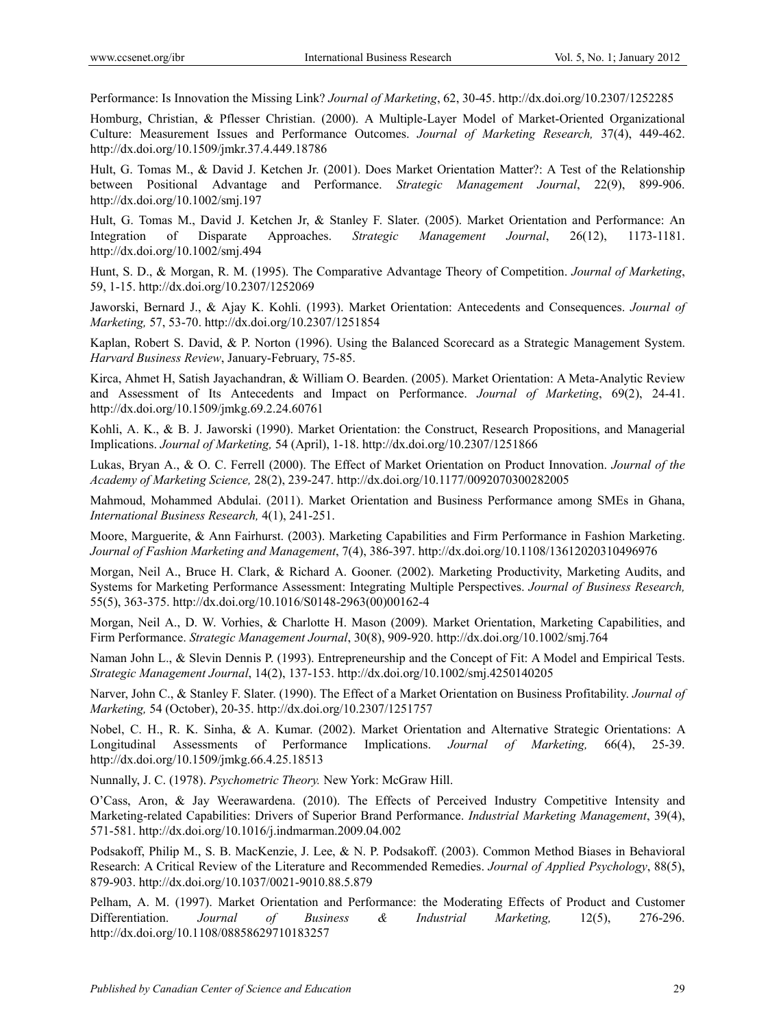Performance: Is Innovation the Missing Link? *Journal of Marketing*, 62, 30-45. http://dx.doi.org/10.2307/1252285

Homburg, Christian, & Pflesser Christian. (2000). A Multiple-Layer Model of Market-Oriented Organizational Culture: Measurement Issues and Performance Outcomes. *Journal of Marketing Research,* 37(4), 449-462. http://dx.doi.org/10.1509/jmkr.37.4.449.18786

Hult, G. Tomas M., & David J. Ketchen Jr. (2001). Does Market Orientation Matter?: A Test of the Relationship between Positional Advantage and Performance. *Strategic Management Journal*, 22(9), 899-906. http://dx.doi.org/10.1002/smj.197

Hult, G. Tomas M., David J. Ketchen Jr, & Stanley F. Slater. (2005). Market Orientation and Performance: An Integration of Disparate Approaches. *Strategic Management Journal*, 26(12), 1173-1181. http://dx.doi.org/10.1002/smj.494

Hunt, S. D., & Morgan, R. M. (1995). The Comparative Advantage Theory of Competition. *Journal of Marketing*, 59, 1-15. http://dx.doi.org/10.2307/1252069

Jaworski, Bernard J., & Ajay K. Kohli. (1993). Market Orientation: Antecedents and Consequences. *Journal of Marketing,* 57, 53-70. http://dx.doi.org/10.2307/1251854

Kaplan, Robert S. David, & P. Norton (1996). Using the Balanced Scorecard as a Strategic Management System. *Harvard Business Review*, January-February, 75-85.

Kirca, Ahmet H, Satish Jayachandran, & William O. Bearden. (2005). Market Orientation: A Meta-Analytic Review and Assessment of Its Antecedents and Impact on Performance. *Journal of Marketing*, 69(2), 24-41. http://dx.doi.org/10.1509/jmkg.69.2.24.60761

Kohli, A. K., & B. J. Jaworski (1990). Market Orientation: the Construct, Research Propositions, and Managerial Implications. *Journal of Marketing,* 54 (April), 1-18. http://dx.doi.org/10.2307/1251866

Lukas, Bryan A., & O. C. Ferrell (2000). The Effect of Market Orientation on Product Innovation. *Journal of the Academy of Marketing Science,* 28(2), 239-247. http://dx.doi.org/10.1177/0092070300282005

Mahmoud, Mohammed Abdulai. (2011). Market Orientation and Business Performance among SMEs in Ghana, *International Business Research,* 4(1), 241-251.

Moore, Marguerite, & Ann Fairhurst. (2003). Marketing Capabilities and Firm Performance in Fashion Marketing. *Journal of Fashion Marketing and Management*, 7(4), 386-397. http://dx.doi.org/10.1108/13612020310496976

Morgan, Neil A., Bruce H. Clark, & Richard A. Gooner. (2002). Marketing Productivity, Marketing Audits, and Systems for Marketing Performance Assessment: Integrating Multiple Perspectives. *Journal of Business Research,* 55(5), 363-375. http://dx.doi.org/10.1016/S0148-2963(00)00162-4

Morgan, Neil A., D. W. Vorhies, & Charlotte H. Mason (2009). Market Orientation, Marketing Capabilities, and Firm Performance. *Strategic Management Journal*, 30(8), 909-920. http://dx.doi.org/10.1002/smj.764

Naman John L., & Slevin Dennis P. (1993). Entrepreneurship and the Concept of Fit: A Model and Empirical Tests. *Strategic Management Journal*, 14(2), 137-153. http://dx.doi.org/10.1002/smj.4250140205

Narver, John C., & Stanley F. Slater. (1990). The Effect of a Market Orientation on Business Profitability. *Journal of Marketing,* 54 (October), 20-35. http://dx.doi.org/10.2307/1251757

Nobel, C. H., R. K. Sinha, & A. Kumar. (2002). Market Orientation and Alternative Strategic Orientations: A Longitudinal Assessments of Performance Implications. *Journal of Marketing,* 66(4), 25-39. http://dx.doi.org/10.1509/jmkg.66.4.25.18513

Nunnally, J. C. (1978). *Psychometric Theory.* New York: McGraw Hill.

O'Cass, Aron, & Jay Weerawardena. (2010). The Effects of Perceived Industry Competitive Intensity and Marketing-related Capabilities: Drivers of Superior Brand Performance. *Industrial Marketing Management*, 39(4), 571-581. http://dx.doi.org/10.1016/j.indmarman.2009.04.002

Podsakoff, Philip M., S. B. MacKenzie, J. Lee, & N. P. Podsakoff. (2003). Common Method Biases in Behavioral Research: A Critical Review of the Literature and Recommended Remedies. *Journal of Applied Psychology*, 88(5), 879-903. http://dx.doi.org/10.1037/0021-9010.88.5.879

Pelham, A. M. (1997). Market Orientation and Performance: the Moderating Effects of Product and Customer Differentiation. *Journal of Business & Industrial Marketing,* 12(5), 276-296. http://dx.doi.org/10.1108/08858629710183257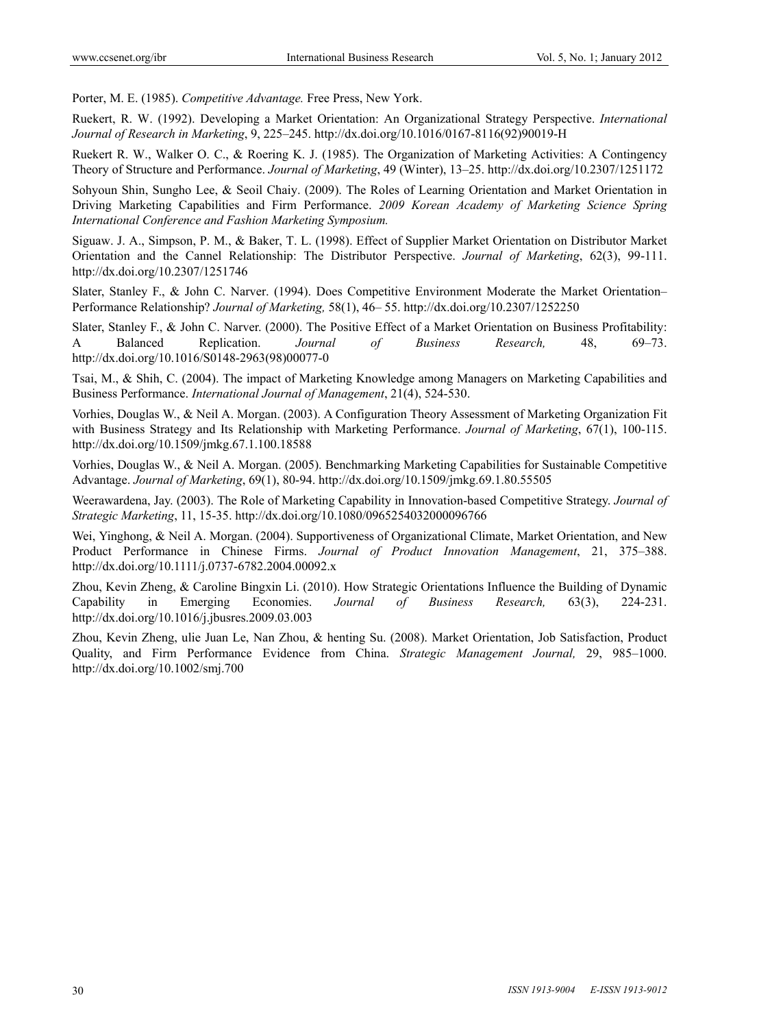Porter, M. E. (1985). *Competitive Advantage.* Free Press, New York.

Ruekert, R. W. (1992). Developing a Market Orientation: An Organizational Strategy Perspective. *International Journal of Research in Marketing*, 9, 225–245. http://dx.doi.org/10.1016/0167-8116(92)90019-H

Ruekert R. W., Walker O. C., & Roering K. J. (1985). The Organization of Marketing Activities: A Contingency Theory of Structure and Performance. *Journal of Marketing*, 49 (Winter), 13–25. http://dx.doi.org/10.2307/1251172

Sohyoun Shin, Sungho Lee, & Seoil Chaiy. (2009). The Roles of Learning Orientation and Market Orientation in Driving Marketing Capabilities and Firm Performance. *2009 Korean Academy of Marketing Science Spring International Conference and Fashion Marketing Symposium.*

Siguaw. J. A., Simpson, P. M., & Baker, T. L. (1998). Effect of Supplier Market Orientation on Distributor Market Orientation and the Cannel Relationship: The Distributor Perspective. *Journal of Marketing*, 62(3), 99-111. http://dx.doi.org/10.2307/1251746

Slater, Stanley F., & John C. Narver. (1994). Does Competitive Environment Moderate the Market Orientation– Performance Relationship? *Journal of Marketing,* 58(1), 46– 55. http://dx.doi.org/10.2307/1252250

Slater, Stanley F., & John C. Narver. (2000). The Positive Effect of a Market Orientation on Business Profitability: A Balanced Replication. *Journal of Business Research,* 48, 69–73. http://dx.doi.org/10.1016/S0148-2963(98)00077-0

Tsai, M., & Shih, C. (2004). The impact of Marketing Knowledge among Managers on Marketing Capabilities and Business Performance. *International Journal of Management*, 21(4), 524-530.

Vorhies, Douglas W., & Neil A. Morgan. (2003). A Configuration Theory Assessment of Marketing Organization Fit with Business Strategy and Its Relationship with Marketing Performance. *Journal of Marketing*, 67(1), 100-115. http://dx.doi.org/10.1509/jmkg.67.1.100.18588

Vorhies, Douglas W., & Neil A. Morgan. (2005). Benchmarking Marketing Capabilities for Sustainable Competitive Advantage. *Journal of Marketing*, 69(1), 80-94. http://dx.doi.org/10.1509/jmkg.69.1.80.55505

Weerawardena, Jay. (2003). The Role of Marketing Capability in Innovation-based Competitive Strategy. *Journal of Strategic Marketing*, 11, 15-35. http://dx.doi.org/10.1080/0965254032000096766

Wei, Yinghong, & Neil A. Morgan. (2004). Supportiveness of Organizational Climate, Market Orientation, and New Product Performance in Chinese Firms. *Journal of Product Innovation Management*, 21, 375–388. http://dx.doi.org/10.1111/j.0737-6782.2004.00092.x

Zhou, Kevin Zheng, & Caroline Bingxin Li. (2010). How Strategic Orientations Influence the Building of Dynamic Capability in Emerging Economies. *Journal of Business Research,* 63(3), 224-231. http://dx.doi.org/10.1016/j.jbusres.2009.03.003

Zhou, Kevin Zheng, ulie Juan Le, Nan Zhou, & henting Su. (2008). Market Orientation, Job Satisfaction, Product Quality, and Firm Performance Evidence from China. *Strategic Management Journal,* 29, 985–1000. http://dx.doi.org/10.1002/smj.700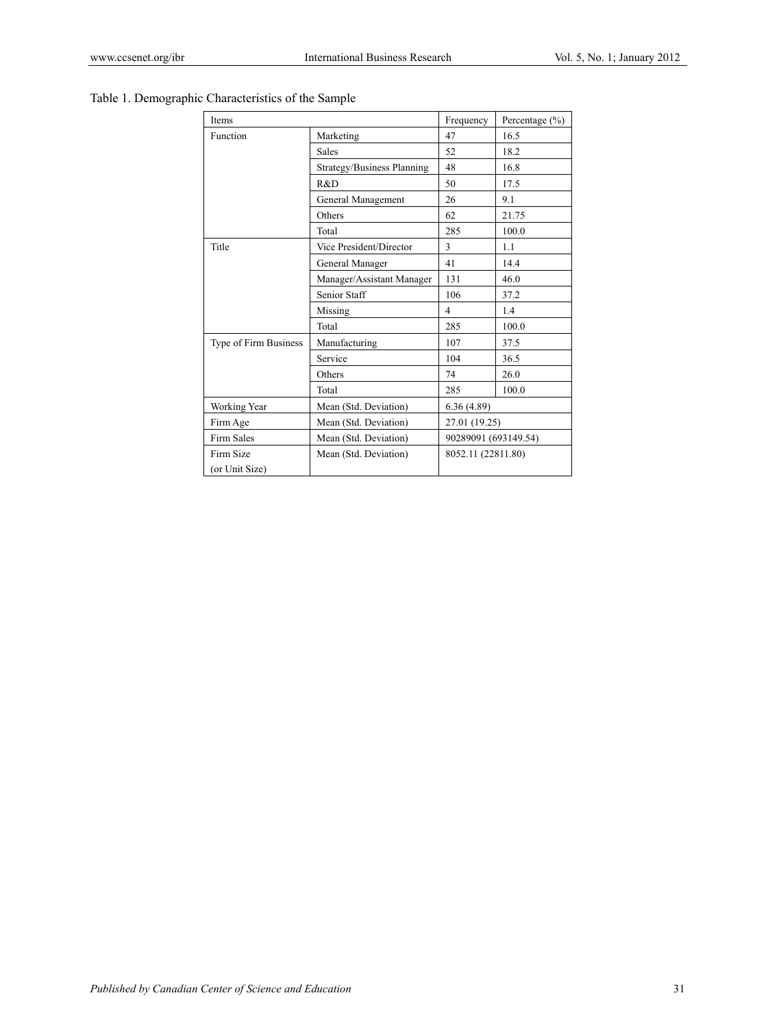Table 1. Demographic Characteristics of the Sample

| Items                 |                            | Frequency            | Percentage (%) |  |
|-----------------------|----------------------------|----------------------|----------------|--|
| Function              | Marketing                  | 47                   | 16.5           |  |
|                       | <b>Sales</b>               | 52                   | 18.2           |  |
|                       | Strategy/Business Planning | 48                   | 16.8           |  |
|                       | R&D                        | 50                   | 17.5           |  |
|                       | General Management         | 26                   | 9.1            |  |
|                       | Others                     | 62                   | 21.75          |  |
|                       | Total                      | 285                  | 100.0          |  |
| Title                 | Vice President/Director    | 3                    | 1.1            |  |
|                       | General Manager            | 41                   | 14.4           |  |
|                       | Manager/Assistant Manager  | 131                  | 46.0           |  |
|                       | Senior Staff               | 106                  | 37.2           |  |
|                       | Missing                    | 4                    | 1.4            |  |
|                       | Total                      | 285                  | 100.0          |  |
| Type of Firm Business | Manufacturing              | 107                  | 37.5           |  |
|                       | Service                    | 104                  | 36.5           |  |
|                       | Others                     | 74                   | 26.0           |  |
|                       | Total                      | 285                  | 100.0          |  |
| Working Year          | Mean (Std. Deviation)      | 6.36(4.89)           |                |  |
| Firm Age              | Mean (Std. Deviation)      | 27.01 (19.25)        |                |  |
| Firm Sales            | Mean (Std. Deviation)      | 90289091 (693149.54) |                |  |
| Firm Size             | Mean (Std. Deviation)      | 8052.11 (22811.80)   |                |  |
| (or Unit Size)        |                            |                      |                |  |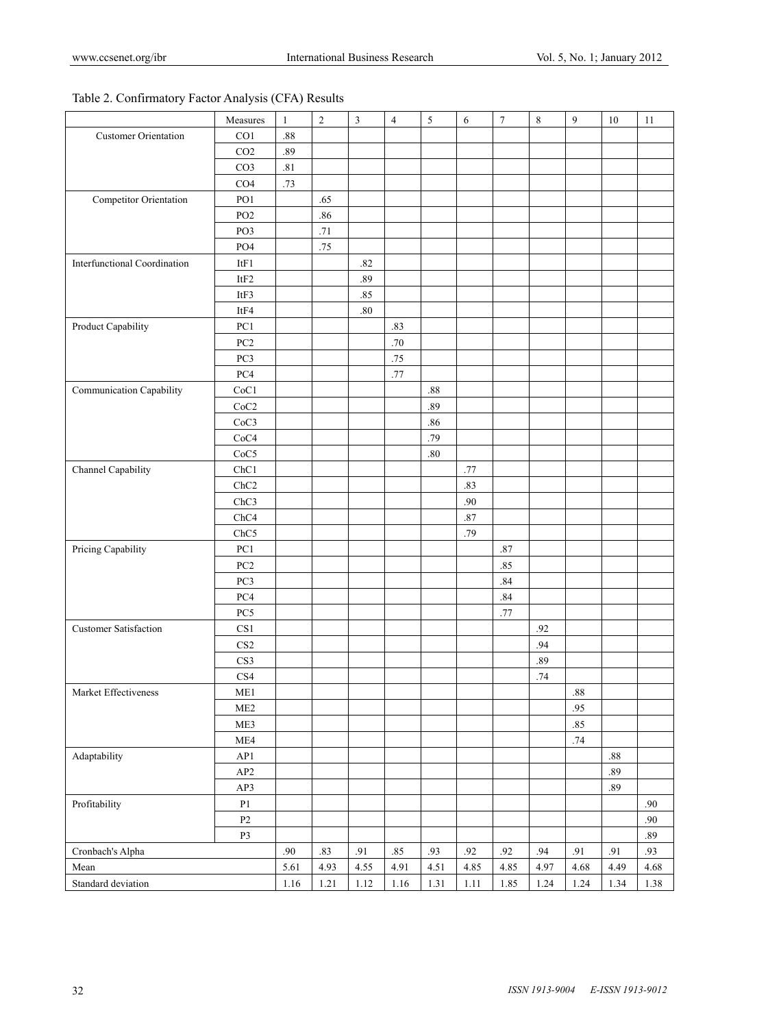# Table 2. Confirmatory Factor Analysis (CFA) Results

|                              | Measures                    | $\mathbf{1}$ | $\sqrt{2}$ | $\mathfrak{Z}$ | $\overline{4}$ | $\sqrt{5}$ | 6       | $\boldsymbol{7}$ | $\,$ 8 $\,$ | 9       | 10      | 11      |
|------------------------------|-----------------------------|--------------|------------|----------------|----------------|------------|---------|------------------|-------------|---------|---------|---------|
| <b>Customer Orientation</b>  | CO1                         | .88          |            |                |                |            |         |                  |             |         |         |         |
|                              | CO <sub>2</sub>             | .89          |            |                |                |            |         |                  |             |         |         |         |
|                              | CO <sub>3</sub>             | $.81\,$      |            |                |                |            |         |                  |             |         |         |         |
|                              | CO <sub>4</sub>             | .73          |            |                |                |            |         |                  |             |         |         |         |
| Competitor Orientation       | PO1                         |              | .65        |                |                |            |         |                  |             |         |         |         |
|                              | PO <sub>2</sub>             |              | .86        |                |                |            |         |                  |             |         |         |         |
|                              | PO <sub>3</sub>             |              | $.71\,$    |                |                |            |         |                  |             |         |         |         |
|                              | PO <sub>4</sub>             |              | .75        |                |                |            |         |                  |             |         |         |         |
| Interfunctional Coordination | ItF1                        |              |            | .82            |                |            |         |                  |             |         |         |         |
|                              | ItF <sub>2</sub>            |              |            | .89            |                |            |         |                  |             |         |         |         |
|                              | ItF3                        |              |            | $.85\,$        |                |            |         |                  |             |         |         |         |
|                              | ItF4                        |              |            | .80            |                |            |         |                  |             |         |         |         |
| Product Capability           | PC1                         |              |            |                | $.83\,$        |            |         |                  |             |         |         |         |
|                              | PC <sub>2</sub>             |              |            |                | $.70\,$        |            |         |                  |             |         |         |         |
|                              | PC3                         |              |            |                | .75            |            |         |                  |             |         |         |         |
|                              | PC4                         |              |            |                | $.77\,$        |            |         |                  |             |         |         |         |
| Communication Capability     | CoC1                        |              |            |                |                | $.88\,$    |         |                  |             |         |         |         |
|                              | CoC2                        |              |            |                |                | .89        |         |                  |             |         |         |         |
|                              | CoC3                        |              |            |                |                | $.86\,$    |         |                  |             |         |         |         |
|                              | CoC4                        |              |            |                |                | .79        |         |                  |             |         |         |         |
|                              | CoC5                        |              |            |                |                | $.80\,$    |         |                  |             |         |         |         |
| Channel Capability           | ChC1                        |              |            |                |                |            | .77     |                  |             |         |         |         |
|                              | ChC2                        |              |            |                |                |            | .83     |                  |             |         |         |         |
|                              | ChC <sub>3</sub>            |              |            |                |                |            | .90     |                  |             |         |         |         |
|                              | ChC4                        |              |            |                |                |            | .87     |                  |             |         |         |         |
|                              | ChC5                        |              |            |                |                |            | .79     |                  |             |         |         |         |
| Pricing Capability           | PC1                         |              |            |                |                |            |         | .87              |             |         |         |         |
|                              | PC2                         |              |            |                |                |            |         | .85              |             |         |         |         |
|                              | PC3                         |              |            |                |                |            |         | .84              |             |         |         |         |
|                              | PC4                         |              |            |                |                |            |         | .84              |             |         |         |         |
|                              | PC5                         |              |            |                |                |            |         | .77              |             |         |         |         |
| Customer Satisfaction        | $\mathbf{C}\mathbf{S}1$     |              |            |                |                |            |         |                  | .92         |         |         |         |
|                              | $\mathop{\rm CS2}\nolimits$ |              |            |                |                |            |         |                  | .94         |         |         |         |
|                              | CS3                         |              |            |                |                |            |         |                  | .89         |         |         |         |
|                              | CS <sub>4</sub>             |              |            |                |                |            |         |                  | $.74\,$     |         |         |         |
| Market Effectiveness         | ME1                         |              |            |                |                |            |         |                  |             | $.88\,$ |         |         |
|                              | ME2                         |              |            |                |                |            |         |                  |             | .95     |         |         |
|                              | ME3                         |              |            |                |                |            |         |                  |             | .85     |         |         |
|                              | $\rm ME4$                   |              |            |                |                |            |         |                  |             | .74     |         |         |
| Adaptability                 | ${\sf AP1}$                 |              |            |                |                |            |         |                  |             |         | $.88\,$ |         |
|                              | ${\sf AP2}$                 |              |            |                |                |            |         |                  |             |         | $.89\,$ |         |
|                              | AP3                         |              |            |                |                |            |         |                  |             |         | $.89\,$ |         |
| Profitability                | P1                          |              |            |                |                |            |         |                  |             |         |         | .90     |
|                              | $\mathbf{P2}$               |              |            |                |                |            |         |                  |             |         |         | .90     |
|                              | P3                          |              |            |                |                |            |         |                  |             |         |         | $.89\,$ |
| Cronbach's Alpha             |                             | .90          | .83        | .91            | $.85\,$        | .93        | $.92\,$ | $.92\,$          | .94         | .91     | .91     | .93     |
| Mean                         |                             | 5.61         | 4.93       | 4.55           | 4.91           | 4.51       | 4.85    | 4.85             | 4.97        | 4.68    | 4.49    | 4.68    |
| Standard deviation           |                             | 1.16         | 1.21       | 1.12           | 1.16           | $1.31\,$   | 1.11    | 1.85             | 1.24        | 1.24    | 1.34    | 1.38    |